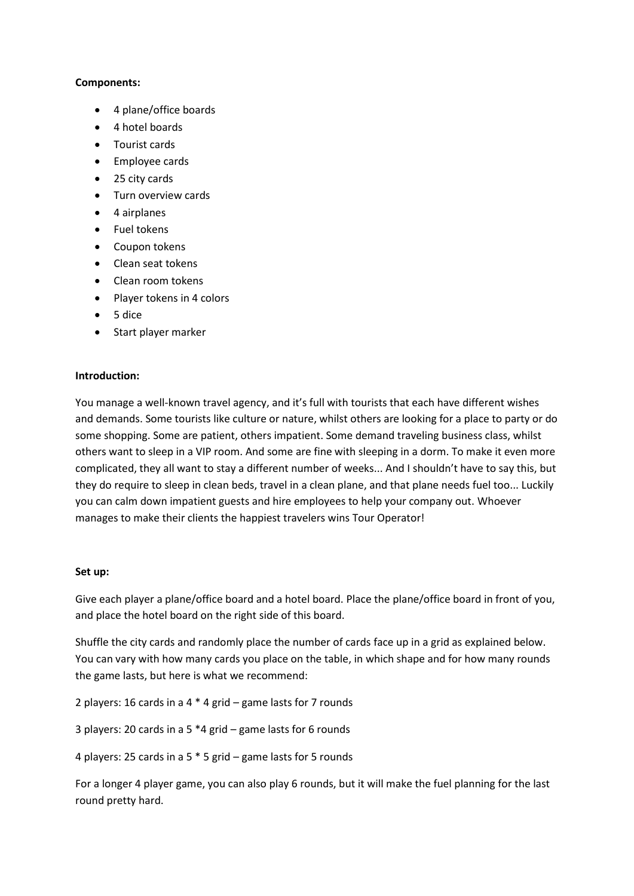#### **Components:**

- 4 plane/office boards
- 4 hotel boards
- Tourist cards
- **•** Employee cards
- 25 city cards
- Turn overview cards
- 4 airplanes
- Fuel tokens
- Coupon tokens
- Clean seat tokens
- Clean room tokens
- Player tokens in 4 colors
- $5 dice$
- Start player marker

#### **Introduction:**

You manage a well-known travel agency, and it's full with tourists that each have different wishes and demands. Some tourists like culture or nature, whilst others are looking for a place to party or do some shopping. Some are patient, others impatient. Some demand traveling business class, whilst others want to sleep in a VIP room. And some are fine with sleeping in a dorm. To make it even more complicated, they all want to stay a different number of weeks... And I shouldn't have to say this, but they do require to sleep in clean beds, travel in a clean plane, and that plane needs fuel too... Luckily you can calm down impatient guests and hire employees to help your company out. Whoever manages to make their clients the happiest travelers wins Tour Operator!

#### **Set up:**

Give each player a plane/office board and a hotel board. Place the plane/office board in front of you, and place the hotel board on the right side of this board.

Shuffle the city cards and randomly place the number of cards face up in a grid as explained below. You can vary with how many cards you place on the table, in which shape and for how many rounds the game lasts, but here is what we recommend:

2 players: 16 cards in a 4 \* 4 grid – game lasts for 7 rounds

3 players: 20 cards in a 5 \*4 grid – game lasts for 6 rounds

4 players: 25 cards in a 5 \* 5 grid – game lasts for 5 rounds

For a longer 4 player game, you can also play 6 rounds, but it will make the fuel planning for the last round pretty hard.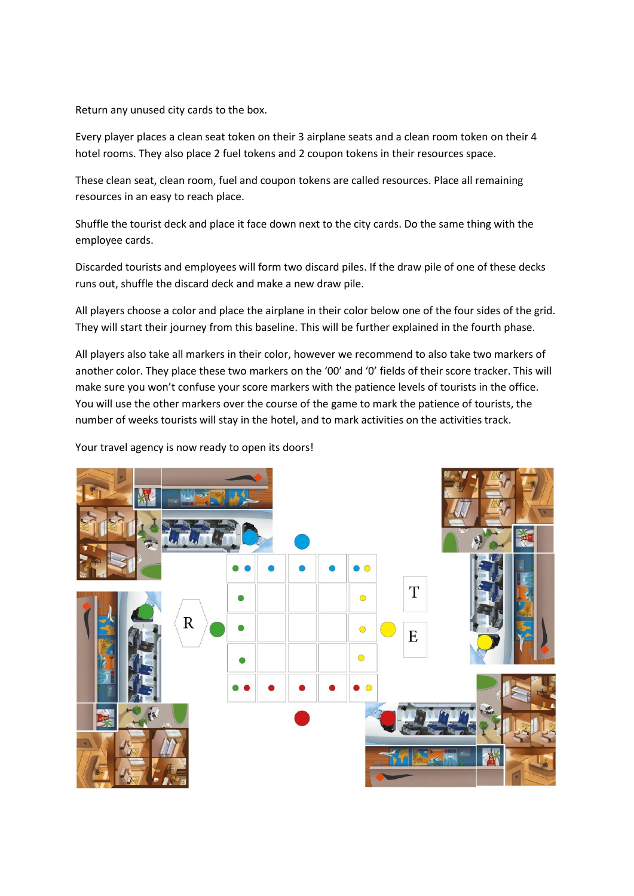Return any unused city cards to the box.

Every player places a clean seat token on their 3 airplane seats and a clean room token on their 4 hotel rooms. They also place 2 fuel tokens and 2 coupon tokens in their resources space.

These clean seat, clean room, fuel and coupon tokens are called resources. Place all remaining resources in an easy to reach place.

Shuffle the tourist deck and place it face down next to the city cards. Do the same thing with the employee cards.

Discarded tourists and employees will form two discard piles. If the draw pile of one of these decks runs out, shuffle the discard deck and make a new draw pile.

All players choose a color and place the airplane in their color below one of the four sides of the grid. They will start their journey from this baseline. This will be further explained in the fourth phase.

All players also take all markers in their color, however we recommend to also take two markers of another color. They place these two markers on the '00' and '0' fields of their score tracker. This will make sure you won't confuse your score markers with the patience levels of tourists in the office. You will use the other markers over the course of the game to mark the patience of tourists, the number of weeks tourists will stay in the hotel, and to mark activities on the activities track.

Your travel agency is now ready to open its doors!

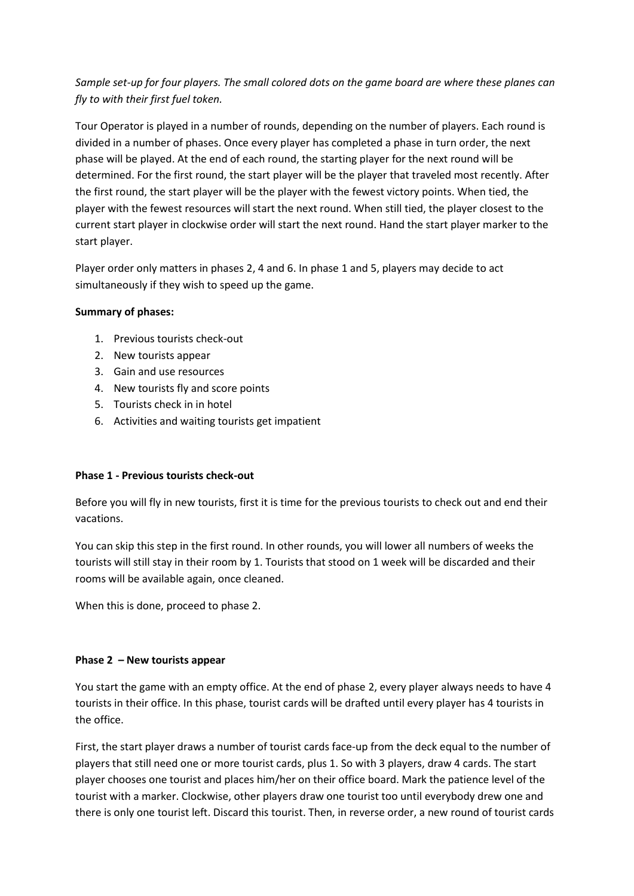# *Sample set-up for four players. The small colored dots on the game board are where these planes can fly to with their first fuel token.*

Tour Operator is played in a number of rounds, depending on the number of players. Each round is divided in a number of phases. Once every player has completed a phase in turn order, the next phase will be played. At the end of each round, the starting player for the next round will be determined. For the first round, the start player will be the player that traveled most recently. After the first round, the start player will be the player with the fewest victory points. When tied, the player with the fewest resources will start the next round. When still tied, the player closest to the current start player in clockwise order will start the next round. Hand the start player marker to the start player.

Player order only matters in phases 2, 4 and 6. In phase 1 and 5, players may decide to act simultaneously if they wish to speed up the game.

# **Summary of phases:**

- 1. Previous tourists check-out
- 2. New tourists appear
- 3. Gain and use resources
- 4. New tourists fly and score points
- 5. Tourists check in in hotel
- 6. Activities and waiting tourists get impatient

# **Phase 1 - Previous tourists check-out**

Before you will fly in new tourists, first it is time for the previous tourists to check out and end their vacations.

You can skip this step in the first round. In other rounds, you will lower all numbers of weeks the tourists will still stay in their room by 1. Tourists that stood on 1 week will be discarded and their rooms will be available again, once cleaned.

When this is done, proceed to phase 2.

# **Phase 2 – New tourists appear**

You start the game with an empty office. At the end of phase 2, every player always needs to have 4 tourists in their office. In this phase, tourist cards will be drafted until every player has 4 tourists in the office.

First, the start player draws a number of tourist cards face-up from the deck equal to the number of players that still need one or more tourist cards, plus 1. So with 3 players, draw 4 cards. The start player chooses one tourist and places him/her on their office board. Mark the patience level of the tourist with a marker. Clockwise, other players draw one tourist too until everybody drew one and there is only one tourist left. Discard this tourist. Then, in reverse order, a new round of tourist cards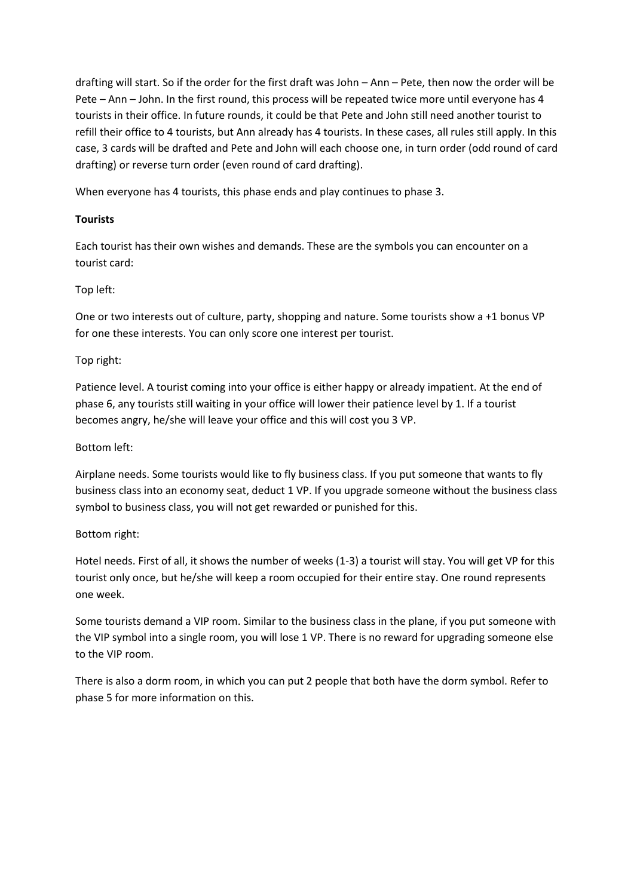drafting will start. So if the order for the first draft was John – Ann – Pete, then now the order will be Pete – Ann – John. In the first round, this process will be repeated twice more until everyone has 4 tourists in their office. In future rounds, it could be that Pete and John still need another tourist to refill their office to 4 tourists, but Ann already has 4 tourists. In these cases, all rules still apply. In this case, 3 cards will be drafted and Pete and John will each choose one, in turn order (odd round of card drafting) or reverse turn order (even round of card drafting).

When everyone has 4 tourists, this phase ends and play continues to phase 3.

# **Tourists**

Each tourist has their own wishes and demands. These are the symbols you can encounter on a tourist card:

# Top left:

One or two interests out of culture, party, shopping and nature. Some tourists show a +1 bonus VP for one these interests. You can only score one interest per tourist.

# Top right:

Patience level. A tourist coming into your office is either happy or already impatient. At the end of phase 6, any tourists still waiting in your office will lower their patience level by 1. If a tourist becomes angry, he/she will leave your office and this will cost you 3 VP.

# Bottom left:

Airplane needs. Some tourists would like to fly business class. If you put someone that wants to fly business class into an economy seat, deduct 1 VP. If you upgrade someone without the business class symbol to business class, you will not get rewarded or punished for this.

# Bottom right:

Hotel needs. First of all, it shows the number of weeks (1-3) a tourist will stay. You will get VP for this tourist only once, but he/she will keep a room occupied for their entire stay. One round represents one week.

Some tourists demand a VIP room. Similar to the business class in the plane, if you put someone with the VIP symbol into a single room, you will lose 1 VP. There is no reward for upgrading someone else to the VIP room.

There is also a dorm room, in which you can put 2 people that both have the dorm symbol. Refer to phase 5 for more information on this.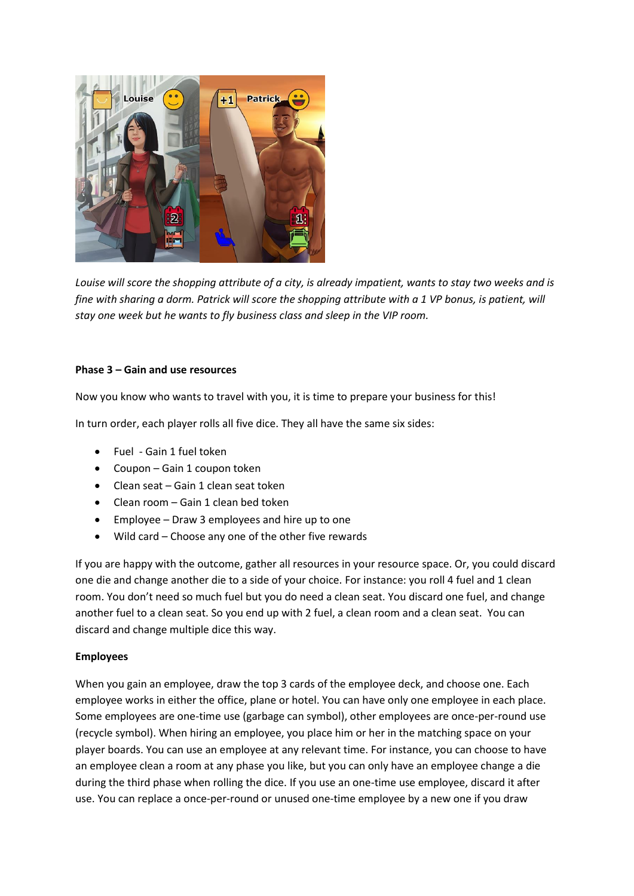

*Louise will score the shopping attribute of a city, is already impatient, wants to stay two weeks and is fine with sharing a dorm. Patrick will score the shopping attribute with a 1 VP bonus, is patient, will stay one week but he wants to fly business class and sleep in the VIP room.*

#### **Phase 3 – Gain and use resources**

Now you know who wants to travel with you, it is time to prepare your business for this!

In turn order, each player rolls all five dice. They all have the same six sides:

- Fuel Gain 1 fuel token
- Coupon Gain 1 coupon token
- Clean seat Gain 1 clean seat token
- Clean room Gain 1 clean bed token
- Employee Draw 3 employees and hire up to one
- Wild card Choose any one of the other five rewards

If you are happy with the outcome, gather all resources in your resource space. Or, you could discard one die and change another die to a side of your choice. For instance: you roll 4 fuel and 1 clean room. You don't need so much fuel but you do need a clean seat. You discard one fuel, and change another fuel to a clean seat. So you end up with 2 fuel, a clean room and a clean seat. You can discard and change multiple dice this way.

#### **Employees**

When you gain an employee, draw the top 3 cards of the employee deck, and choose one. Each employee works in either the office, plane or hotel. You can have only one employee in each place. Some employees are one-time use (garbage can symbol), other employees are once-per-round use (recycle symbol). When hiring an employee, you place him or her in the matching space on your player boards. You can use an employee at any relevant time. For instance, you can choose to have an employee clean a room at any phase you like, but you can only have an employee change a die during the third phase when rolling the dice. If you use an one-time use employee, discard it after use. You can replace a once-per-round or unused one-time employee by a new one if you draw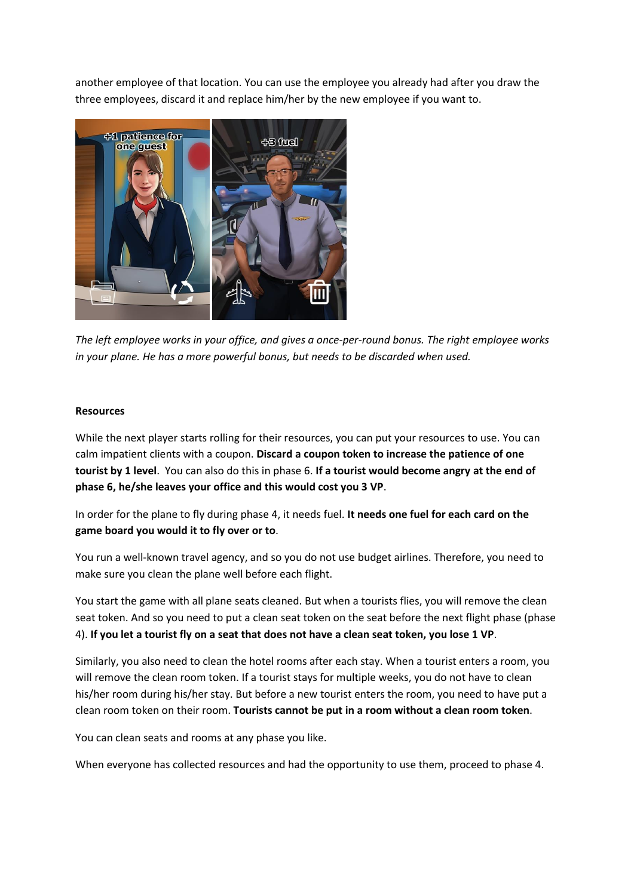another employee of that location. You can use the employee you already had after you draw the three employees, discard it and replace him/her by the new employee if you want to.



*The left employee works in your office, and gives a once-per-round bonus. The right employee works in your plane. He has a more powerful bonus, but needs to be discarded when used.*

#### **Resources**

While the next player starts rolling for their resources, you can put your resources to use. You can calm impatient clients with a coupon. **Discard a coupon token to increase the patience of one tourist by 1 level**. You can also do this in phase 6. **If a tourist would become angry at the end of phase 6, he/she leaves your office and this would cost you 3 VP**.

In order for the plane to fly during phase 4, it needs fuel. **It needs one fuel for each card on the game board you would it to fly over or to**.

You run a well-known travel agency, and so you do not use budget airlines. Therefore, you need to make sure you clean the plane well before each flight.

You start the game with all plane seats cleaned. But when a tourists flies, you will remove the clean seat token. And so you need to put a clean seat token on the seat before the next flight phase (phase 4). **If you let a tourist fly on a seat that does not have a clean seat token, you lose 1 VP**.

Similarly, you also need to clean the hotel rooms after each stay. When a tourist enters a room, you will remove the clean room token. If a tourist stays for multiple weeks, you do not have to clean his/her room during his/her stay. But before a new tourist enters the room, you need to have put a clean room token on their room. **Tourists cannot be put in a room without a clean room token**.

You can clean seats and rooms at any phase you like.

When everyone has collected resources and had the opportunity to use them, proceed to phase 4.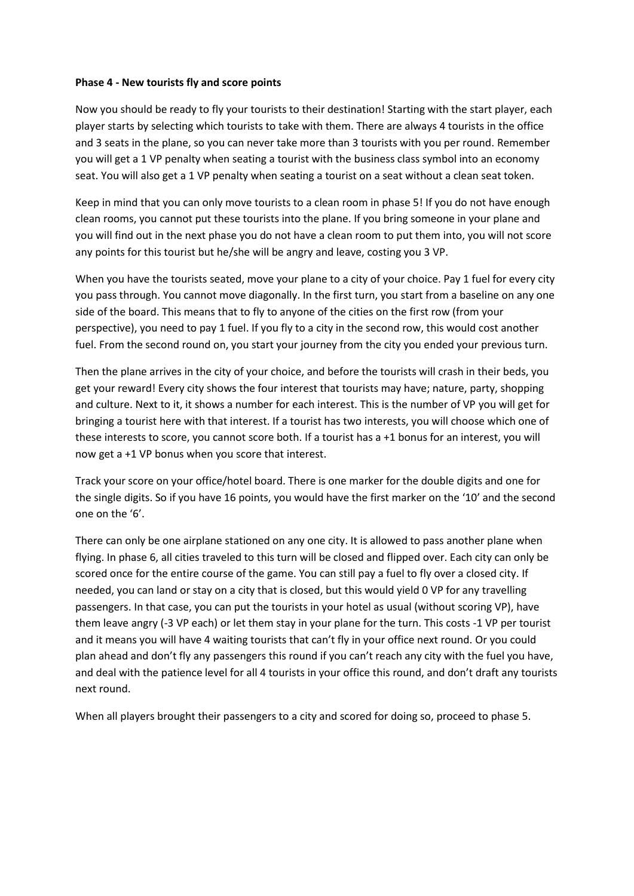#### **Phase 4 - New tourists fly and score points**

Now you should be ready to fly your tourists to their destination! Starting with the start player, each player starts by selecting which tourists to take with them. There are always 4 tourists in the office and 3 seats in the plane, so you can never take more than 3 tourists with you per round. Remember you will get a 1 VP penalty when seating a tourist with the business class symbol into an economy seat. You will also get a 1 VP penalty when seating a tourist on a seat without a clean seat token.

Keep in mind that you can only move tourists to a clean room in phase 5! If you do not have enough clean rooms, you cannot put these tourists into the plane. If you bring someone in your plane and you will find out in the next phase you do not have a clean room to put them into, you will not score any points for this tourist but he/she will be angry and leave, costing you 3 VP.

When you have the tourists seated, move your plane to a city of your choice. Pay 1 fuel for every city you pass through. You cannot move diagonally. In the first turn, you start from a baseline on any one side of the board. This means that to fly to anyone of the cities on the first row (from your perspective), you need to pay 1 fuel. If you fly to a city in the second row, this would cost another fuel. From the second round on, you start your journey from the city you ended your previous turn.

Then the plane arrives in the city of your choice, and before the tourists will crash in their beds, you get your reward! Every city shows the four interest that tourists may have; nature, party, shopping and culture. Next to it, it shows a number for each interest. This is the number of VP you will get for bringing a tourist here with that interest. If a tourist has two interests, you will choose which one of these interests to score, you cannot score both. If a tourist has a +1 bonus for an interest, you will now get a +1 VP bonus when you score that interest.

Track your score on your office/hotel board. There is one marker for the double digits and one for the single digits. So if you have 16 points, you would have the first marker on the '10' and the second one on the '6'.

There can only be one airplane stationed on any one city. It is allowed to pass another plane when flying. In phase 6, all cities traveled to this turn will be closed and flipped over. Each city can only be scored once for the entire course of the game. You can still pay a fuel to fly over a closed city. If needed, you can land or stay on a city that is closed, but this would yield 0 VP for any travelling passengers. In that case, you can put the tourists in your hotel as usual (without scoring VP), have them leave angry (-3 VP each) or let them stay in your plane for the turn. This costs -1 VP per tourist and it means you will have 4 waiting tourists that can't fly in your office next round. Or you could plan ahead and don't fly any passengers this round if you can't reach any city with the fuel you have, and deal with the patience level for all 4 tourists in your office this round, and don't draft any tourists next round.

When all players brought their passengers to a city and scored for doing so, proceed to phase 5.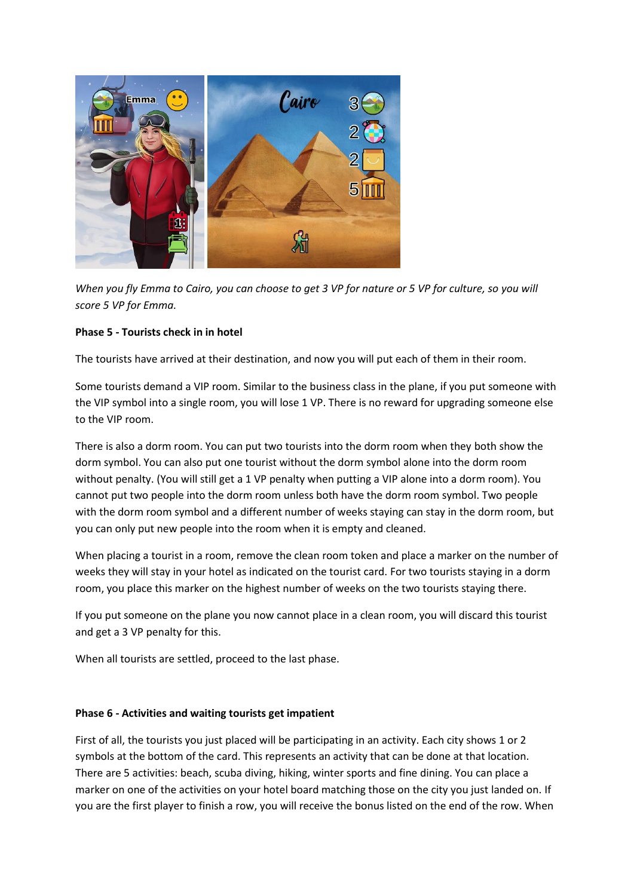

*When you fly Emma to Cairo, you can choose to get 3 VP for nature or 5 VP for culture, so you will score 5 VP for Emma.*

# **Phase 5 - Tourists check in in hotel**

The tourists have arrived at their destination, and now you will put each of them in their room.

Some tourists demand a VIP room. Similar to the business class in the plane, if you put someone with the VIP symbol into a single room, you will lose 1 VP. There is no reward for upgrading someone else to the VIP room.

There is also a dorm room. You can put two tourists into the dorm room when they both show the dorm symbol. You can also put one tourist without the dorm symbol alone into the dorm room without penalty. (You will still get a 1 VP penalty when putting a VIP alone into a dorm room). You cannot put two people into the dorm room unless both have the dorm room symbol. Two people with the dorm room symbol and a different number of weeks staying can stay in the dorm room, but you can only put new people into the room when it is empty and cleaned.

When placing a tourist in a room, remove the clean room token and place a marker on the number of weeks they will stay in your hotel as indicated on the tourist card. For two tourists staying in a dorm room, you place this marker on the highest number of weeks on the two tourists staying there.

If you put someone on the plane you now cannot place in a clean room, you will discard this tourist and get a 3 VP penalty for this.

When all tourists are settled, proceed to the last phase.

#### **Phase 6 - Activities and waiting tourists get impatient**

First of all, the tourists you just placed will be participating in an activity. Each city shows 1 or 2 symbols at the bottom of the card. This represents an activity that can be done at that location. There are 5 activities: beach, scuba diving, hiking, winter sports and fine dining. You can place a marker on one of the activities on your hotel board matching those on the city you just landed on. If you are the first player to finish a row, you will receive the bonus listed on the end of the row. When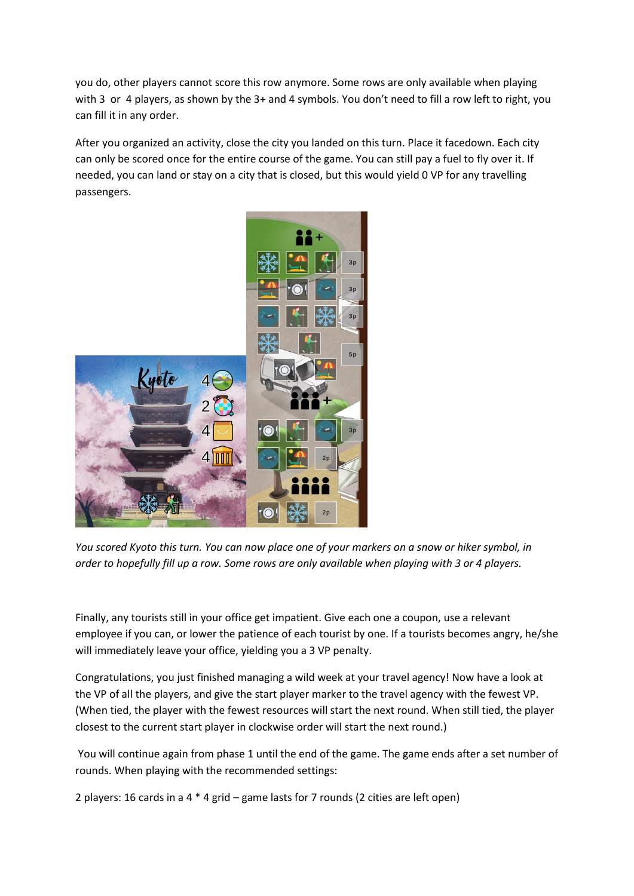you do, other players cannot score this row anymore. Some rows are only available when playing with 3 or 4 players, as shown by the 3+ and 4 symbols. You don't need to fill a row left to right, you can fill it in any order.

After you organized an activity, close the city you landed on this turn. Place it facedown. Each city can only be scored once for the entire course of the game. You can still pay a fuel to fly over it. If needed, you can land or stay on a city that is closed, but this would yield 0 VP for any travelling passengers.



*You scored Kyoto this turn. You can now place one of your markers on a snow or hiker symbol, in order to hopefully fill up a row. Some rows are only available when playing with 3 or 4 players.*

Finally, any tourists still in your office get impatient. Give each one a coupon, use a relevant employee if you can, or lower the patience of each tourist by one. If a tourists becomes angry, he/she will immediately leave your office, yielding you a 3 VP penalty.

Congratulations, you just finished managing a wild week at your travel agency! Now have a look at the VP of all the players, and give the start player marker to the travel agency with the fewest VP. (When tied, the player with the fewest resources will start the next round. When still tied, the player closest to the current start player in clockwise order will start the next round.)

You will continue again from phase 1 until the end of the game. The game ends after a set number of rounds. When playing with the recommended settings:

2 players: 16 cards in a 4 \* 4 grid – game lasts for 7 rounds (2 cities are left open)